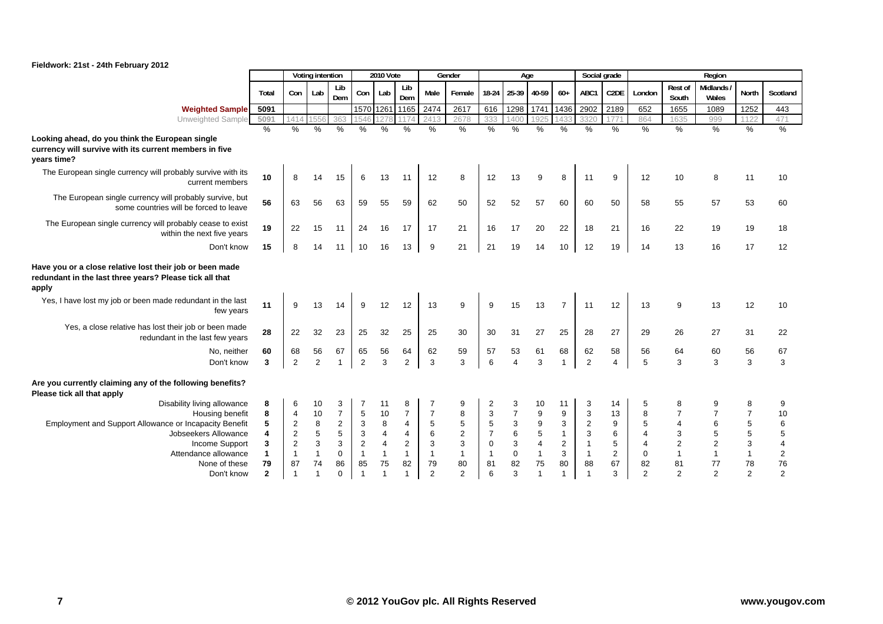|                                                                                                                              |                         |                | Voting intention |                |                | <b>2010 Vote</b>        |                |                | Gender         |                | Age            |                  |                | Social grade   |                |                |                  | Region                   |                |                         |
|------------------------------------------------------------------------------------------------------------------------------|-------------------------|----------------|------------------|----------------|----------------|-------------------------|----------------|----------------|----------------|----------------|----------------|------------------|----------------|----------------|----------------|----------------|------------------|--------------------------|----------------|-------------------------|
|                                                                                                                              | Total                   | Con            | Lab              | Lib<br>Dem     | Con            | Lab                     | Lib<br>Dem     | Male           | Female         | 18-24          | 25-39 40-59    |                  | $60+$          | ABC1           | C2DE           | London         | Rest of<br>South | <b>Midlands</b><br>Wales | North          | Scotland                |
| <b>Weighted Sample</b>                                                                                                       | 5091                    |                |                  |                |                | 1570 1261               | 1165           | 2474           | 2617           | 616            | 1298           | 1741             | 1436           | 2902           | 2189           | 652            | 1655             | 1089                     | 1252           | 443                     |
| Unweighted Sample                                                                                                            | 5091                    | 1414           |                  | 363            | 1546           | 1278                    | 117            | 2413           | 2678           | 333            | 1400           | 1925             | 1433           | 3320           | 1771           | 864            | 1635             | 999                      | 1122           | 471                     |
|                                                                                                                              | $\%$                    | %              | %                | $\%$           | %              | $\frac{0}{0}$           | $\frac{0}{0}$  | $\frac{0}{0}$  | %              | %              | $\%$           | $\%$             | $\%$           | $\%$           | $\%$           | $\%$           | $\%$             | $\frac{9}{6}$            | $\%$           | $\frac{0}{6}$           |
| Looking ahead, do you think the European single<br>currency will survive with its current members in five<br>years time?     |                         |                |                  |                |                |                         |                |                |                |                |                |                  |                |                |                |                |                  |                          |                |                         |
| The European single currency will probably survive with its<br>current members                                               | 10                      | 8              | 14               | 15             | 6              | 13                      | 11             | 12             | 8              | 12             | 13             | 9                | 8              | 11             | 9              | 12             | 10               | 8                        | 11             | 10                      |
| The European single currency will probably survive, but<br>some countries will be forced to leave                            | 56                      | 63             | 56               | 63             | 59             | 55                      | 59             | 62             | 50             | 52             | 52             | 57               | 60             | 60             | 50             | 58             | 55               | 57                       | 53             | 60                      |
| The European single currency will probably cease to exist<br>within the next five years                                      | 19                      | 22             | 15               | 11             | 24             | 16                      | 17             | 17             | 21             | 16             | 17             | 20               | 22             | 18             | 21             | 16             | 22               | 19                       | 19             | 18                      |
| Don't know                                                                                                                   | 15                      | 8              | 14               | 11             | 10             | 16                      | 13             | 9              | 21             | 21             | 19             | 14               | 10             | 12             | 19             | 14             | 13               | 16                       | 17             | 12                      |
| Have you or a close relative lost their job or been made<br>redundant in the last three years? Please tick all that<br>apply |                         |                |                  |                |                |                         |                |                |                |                |                |                  |                |                |                |                |                  |                          |                |                         |
| Yes, I have lost my job or been made redundant in the last<br>few years                                                      | 11                      | 9              | 13               | 14             | 9              | 12                      | 12             | 13             | 9              | 9              | 15             | 13               | $\overline{7}$ | 11             | 12             | 13             | 9                | 13                       | 12             | 10                      |
| Yes, a close relative has lost their job or been made<br>redundant in the last few years                                     | 28                      | 22             | 32               | 23             | 25             | 32                      | 25             | 25             | 30             | 30             | 31             | 27               | 25             | 28             | 27             | 29             | 26               | 27                       | 31             | 22                      |
| No, neither                                                                                                                  | 60                      | 68             | 56               | 67             | 65             | 56                      | 64             | 62             | 59             | 57             | 53             | 61               | 68             | 62             | 58             | 56             | 64               | 60                       | 56             | 67                      |
| Don't know                                                                                                                   | 3                       | 2              | 2                | $\overline{1}$ | $\overline{2}$ | 3                       | 2              | 3              | 3              | 6              | $\overline{4}$ | 3                |                | $\overline{2}$ | 4              | 5              | 3                | 3                        | 3              | 3                       |
| Are you currently claiming any of the following benefits?<br>Please tick all that apply                                      |                         |                |                  |                |                |                         |                |                |                |                |                |                  |                |                |                |                |                  |                          |                |                         |
| Disability living allowance                                                                                                  | 8                       | 6              | 10               | 3              | 7              | 11                      | 8              |                | 9              | $\overline{2}$ | 3              | 10               | 11             | 3              | 14             | 5              | 8                | 9                        | 8              | 9                       |
| Housing benefit                                                                                                              | 8                       | $\overline{4}$ | 10               | $\overline{7}$ | 5              | 10                      | $\overline{7}$ | $\overline{7}$ | 8              | 3              | $\overline{7}$ | 9                | 9              | $\mathbf{3}$   | 13             | 8              | $\overline{7}$   | $\overline{7}$           | $\overline{7}$ | 10                      |
| Employment and Support Allowance or Incapacity Benefit                                                                       | 5                       | $\sqrt{2}$     | 8                | $\overline{2}$ | 3              | 8                       | 4              | 5              | $\mathbf 5$    | 5              | 3              | $\boldsymbol{9}$ | 3              | $\overline{c}$ | 9              | 5              |                  | 6                        | 5              | 6                       |
| Jobseekers Allowance                                                                                                         | $\overline{\mathbf{4}}$ | $\sqrt{2}$     | 5                | 5              | 3              | $\overline{\mathbf{4}}$ | 4              | 6              | $\overline{2}$ | $\overline{7}$ | 6              | 5                | $\mathbf{1}$   | 3              | 6              | 4              | 3                | $\sqrt{5}$               | 5              | 5                       |
| Income Support                                                                                                               | 3                       | 2              | 3                | 3              | 2              | $\overline{\mathbf{4}}$ | 2              | 3              | 3              | $\mathbf 0$    | 3              | $\overline{4}$   | 2              | $\mathbf{1}$   | 5              | 4              | $\overline{2}$   | $\overline{2}$           | 3              | $\overline{4}$          |
| Attendance allowance                                                                                                         | $\mathbf{1}$            | $\mathbf{1}$   | 1                | 0              | $\overline{1}$ | $\mathbf{1}$            | $\mathbf{1}$   | $\mathbf{1}$   | $\mathbf{1}$   | $\mathbf{1}$   | $\mathbf 0$    | $\mathbf{1}$     | 3              | $\overline{1}$ | $\overline{2}$ | 0              | $\overline{1}$   | $\overline{1}$           | $\mathbf{1}$   | $\overline{\mathbf{c}}$ |
| None of these                                                                                                                | 79                      | 87             | 74               | 86             | 85             | 75                      | 82             | 79             | 80             | 81             | 82             | 75               | 80             | 88             | 67             | 82             | 81               | 77                       | 78             | 76                      |
| Don't know                                                                                                                   | $\mathbf{2}$            |                |                  | $\Omega$       |                | $\overline{1}$          | 1              | $\mathcal{P}$  | $\overline{2}$ | 6              | 3              | $\overline{1}$   | 1              |                | 3              | $\mathfrak{p}$ | $\overline{2}$   | $\overline{2}$           | $\overline{2}$ | $\overline{2}$          |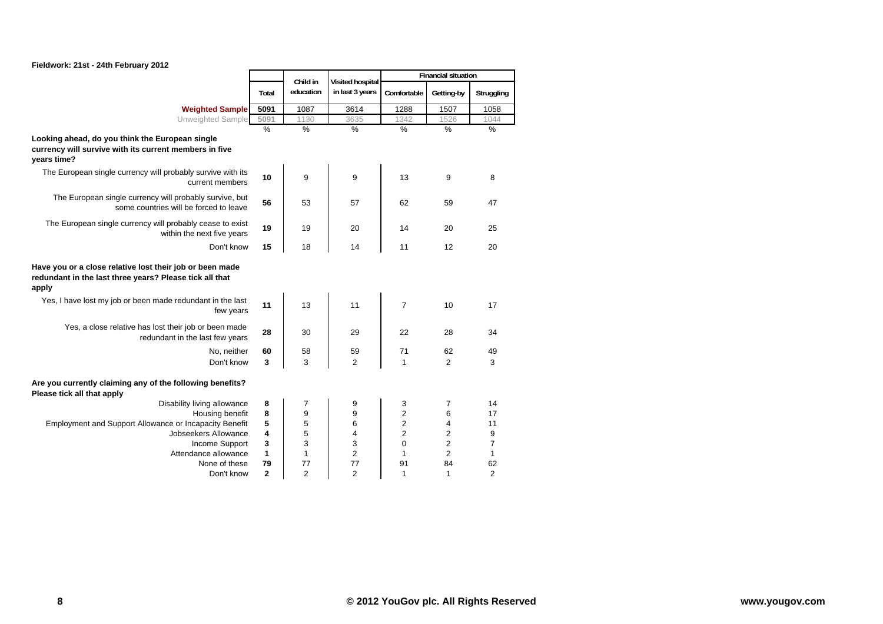

|                                                                                                                              |                | Child in       | <b>Visited hospital</b> |                         | <b>Financial situation</b> |                |
|------------------------------------------------------------------------------------------------------------------------------|----------------|----------------|-------------------------|-------------------------|----------------------------|----------------|
|                                                                                                                              | Total          | education      | in last 3 years         | Comfortable             | Getting-by                 | Struggling     |
| <b>Weighted Sample</b>                                                                                                       | 5091           | 1087           | 3614                    | 1288                    | 1507                       | 1058           |
| Unweighted Sample                                                                                                            | 5091           | 1130           | 3635                    | 1342                    | 1526                       | 1044           |
| Looking ahead, do you think the European single<br>currency will survive with its current members in five<br>years time?     | $\%$           | $\frac{9}{6}$  | $\frac{9}{6}$           | $\frac{0}{6}$           | $\frac{0}{0}$              | $\frac{0}{0}$  |
| The European single currency will probably survive with its<br>current members                                               | 10             | 9              | 9                       | 13                      | 9                          | 8              |
| The European single currency will probably survive, but<br>some countries will be forced to leave                            | 56             | 53             | 57                      | 62                      | 59                         | 47             |
| The European single currency will probably cease to exist<br>within the next five years                                      | 19             | 19             | 20                      | 14                      | 20                         | 25             |
| Don't know                                                                                                                   | 15             | 18             | 14                      | 11                      | 12                         | 20             |
| Have you or a close relative lost their job or been made<br>redundant in the last three years? Please tick all that<br>apply |                |                |                         |                         |                            |                |
| Yes, I have lost my job or been made redundant in the last<br>few years                                                      | 11             | 13             | 11                      | $\overline{7}$          | 10                         | 17             |
| Yes, a close relative has lost their job or been made<br>redundant in the last few years                                     | 28             | 30             | 29                      | 22                      | 28                         | 34             |
| No, neither                                                                                                                  | 60             | 58             | 59                      | 71                      | 62                         | 49             |
| Don't know                                                                                                                   | 3              | 3              | 2                       | $\mathbf{1}$            | $\overline{2}$             | 3              |
| Are you currently claiming any of the following benefits?<br>Please tick all that apply                                      |                |                |                         |                         |                            |                |
| Disability living allowance                                                                                                  | 8              | 7              | 9                       | 3                       | 7                          | 14             |
| Housing benefit                                                                                                              | 8              | 9              | 9                       | $\overline{c}$          | 6                          | 17             |
| Employment and Support Allowance or Incapacity Benefit                                                                       | 5              | 5              | 6                       | $\overline{\mathbf{c}}$ | 4                          | 11             |
| Jobseekers Allowance                                                                                                         | 4              | 5              | 4                       | $\overline{c}$          | 2                          | 9              |
| Income Support                                                                                                               | 3              | 3              | 3                       | 0                       | 2                          | $\overline{7}$ |
| Attendance allowance                                                                                                         | 1              | $\mathbf{1}$   | $\overline{c}$          | 1                       | 2                          | $\mathbf{1}$   |
| None of these                                                                                                                | 79             | 77             | 77                      | 91                      | 84                         | 62             |
| Don't know                                                                                                                   | $\overline{2}$ | $\overline{2}$ | 2                       | $\mathbf{1}$            | 1                          | $\overline{2}$ |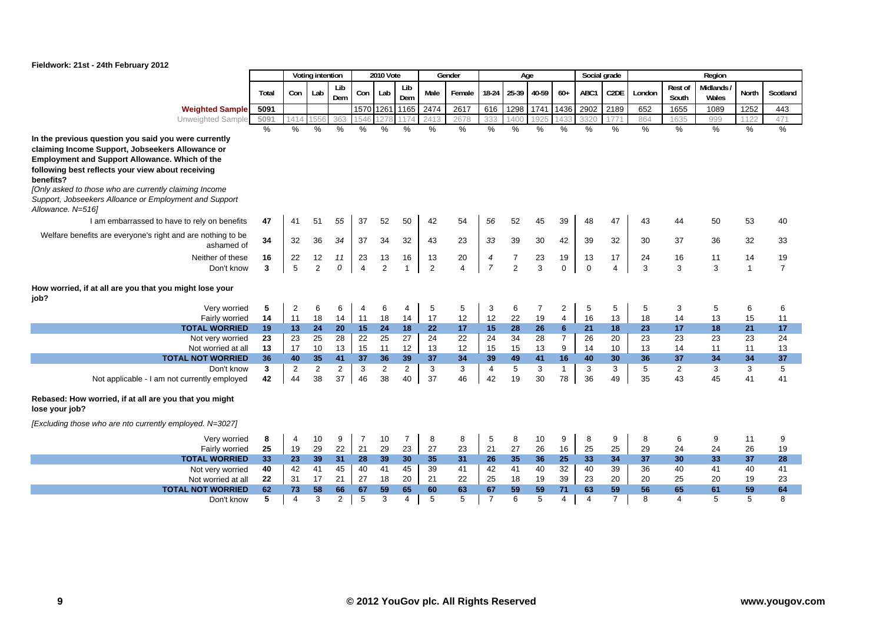

|                                                                                                                                                                                                                                                                                                                                                                              |                         |                 | Voting intention |                |                | 2010 Vote      |                |                | Gender         |                | Age            |                |                                  |          | Social grade          |          |                  | Region            |                |                |
|------------------------------------------------------------------------------------------------------------------------------------------------------------------------------------------------------------------------------------------------------------------------------------------------------------------------------------------------------------------------------|-------------------------|-----------------|------------------|----------------|----------------|----------------|----------------|----------------|----------------|----------------|----------------|----------------|----------------------------------|----------|-----------------------|----------|------------------|-------------------|----------------|----------------|
|                                                                                                                                                                                                                                                                                                                                                                              | Total                   | Con             | Lab              | Lib<br>Dem     | Con            | Lab            | Lib<br>Dem     | Male           | Female         | 18-24          | 25-39          | 40-59          | $60+$                            | ABC1     | C2DE                  | London   | Rest of<br>South | Midlands<br>Wales | <b>North</b>   | Scotland       |
| <b>Weighted Sample</b>                                                                                                                                                                                                                                                                                                                                                       | 5091                    |                 |                  |                |                | 1570 1261      | 1165           | 2474           | 2617           | 616            | 1298           | 1741           | 1436                             | 2902     | 2189                  | 652      | 1655             | 1089              | 1252           | 443            |
| Unweighted Sample                                                                                                                                                                                                                                                                                                                                                            | 5091                    | 1414            | 556              | 363            | 1546           | 127            |                | 2413           | 2678           | 333            | 40(            | 192            |                                  | 3320     |                       | 864      | 1635             | 999               | 1122           | 471            |
|                                                                                                                                                                                                                                                                                                                                                                              | %                       | %               | $\%$             | %              | $\%$           | $\frac{0}{0}$  | %              | %              | %              | %              | %              | $\%$           | %                                | %        | %                     | $\%$     | %                | %                 | %              | $\%$           |
| In the previous question you said you were currently<br>claiming Income Support, Jobseekers Allowance or<br><b>Employment and Support Allowance. Which of the</b><br>following best reflects your view about receiving<br>benefits?<br>[Only asked to those who are currently claiming Income<br>Support, Jobseekers Alloance or Employment and Support<br>Allowance. N=516] |                         |                 |                  |                |                |                |                |                |                |                |                |                |                                  |          |                       |          |                  |                   |                |                |
| I am embarrassed to have to rely on benefits                                                                                                                                                                                                                                                                                                                                 | 47                      | 41              | 51               | 55             | 37             | 52             | 50             | 42             | 54             | 56             | 52             | 45             | 39                               | 48       | 47                    | 43       | 44               | 50                | 53             | 40             |
| Welfare benefits are everyone's right and are nothing to be<br>ashamed of                                                                                                                                                                                                                                                                                                    | 34                      | 32              | 36               | 34             | 37             | 34             | 32             | 43             | 23             | 33             | 39             | 30             | 42                               | 39       | 32                    | 30       | 37               | 36                | 32             | 33             |
| Neither of these                                                                                                                                                                                                                                                                                                                                                             | 16                      | 22              | 12               | 11             | 23             | 13             | 16             | 13             | 20             | 4              | $\overline{7}$ | 23             | 19                               | 13       | 17                    | 24       | 16               | 11                | 14             | 19             |
| Don't know                                                                                                                                                                                                                                                                                                                                                                   | $\overline{\mathbf{3}}$ | 5               | $\overline{2}$   | 0              | $\overline{4}$ | $\overline{2}$ | $\overline{1}$ | $\overline{2}$ | $\overline{4}$ | $\overline{7}$ | $\overline{2}$ | $\overline{3}$ | $\Omega$                         | $\Omega$ | $\boldsymbol{\Delta}$ | 3        | 3                | 3                 | $\overline{1}$ | $\overline{7}$ |
| How worried, if at all are you that you might lose your<br>job?                                                                                                                                                                                                                                                                                                              |                         |                 |                  |                |                |                |                |                |                |                |                |                |                                  |          |                       |          |                  |                   |                |                |
| Very worried                                                                                                                                                                                                                                                                                                                                                                 | 5                       | 2               | 6                | 6              | 4              | 6              | 4              | 5              | 5              | 3              | 6              | 7              | $\overline{c}$                   | 5        | 5                     | 5        | 3                | 5                 | 6              | 6              |
| Fairly worried                                                                                                                                                                                                                                                                                                                                                               | 14                      | 11              | 18               | 14             | 11             | 18             | 14             | 17             | 12             | 12             | 22             | 19             | $\overline{4}$                   | 16       | 13                    | 18       | 14               | 13                | 15             | 11             |
| <b>TOTAL WORRIED</b>                                                                                                                                                                                                                                                                                                                                                         | 19                      | 13              | 24<br>25         | 20<br>28       | 15<br>22       | 24             | 18             | 22<br>24       | 17<br>22       | 15<br>24       | 28<br>34       | 26<br>28       | 6 <sup>1</sup><br>$\overline{7}$ | 21<br>26 | 18                    | 23       | 17               | 18                | 21<br>23       | 17<br>24       |
| Not very worried<br>Not worried at all                                                                                                                                                                                                                                                                                                                                       | 23<br>13                | 23<br>17        | 10               | 13             | 15             | 25<br>11       | 27<br>12       | 13             | 12             | 15             | 15             | 13             | 9                                | 14       | 20<br>10              | 23<br>13 | 23<br>14         | 23<br>11          | 11             | 13             |
| <b>TOTAL NOT WORRIED</b>                                                                                                                                                                                                                                                                                                                                                     | 36                      | 40              | 35               | 41             | 37             | 36             | 39             | 37             | 34             | 39             | 49             | 41             | 16                               | 40       | 30                    | 36       | 37               | 34                | 34             | 37             |
| Don't know                                                                                                                                                                                                                                                                                                                                                                   | 3                       | 2               | $\overline{2}$   | 2              | 3              | $\overline{c}$ | $\overline{2}$ | 3              | 3              | $\overline{4}$ | 5              | 3              | $\mathbf{1}$                     | 3        | 3                     | 5        | $\overline{2}$   | 3                 | 3              | 5              |
| Not applicable - I am not currently employed                                                                                                                                                                                                                                                                                                                                 | 42                      | 44              | 38               | 37             | 46             | 38             | 40             | 37             | 46             | 42             | 19             | 30             | 78                               | 36       | 49                    | 35       | 43               | 45                | 41             | 41             |
| Rebased: How worried, if at all are you that you might<br>lose your job?                                                                                                                                                                                                                                                                                                     |                         |                 |                  |                |                |                |                |                |                |                |                |                |                                  |          |                       |          |                  |                   |                |                |
| [Excluding those who are nto currently employed. N=3027]                                                                                                                                                                                                                                                                                                                     |                         |                 |                  |                |                |                |                |                |                |                |                |                |                                  |          |                       |          |                  |                   |                |                |
| Very worried                                                                                                                                                                                                                                                                                                                                                                 | 8                       | 4               | 10               | 9              | $\overline{7}$ | 10             | $\overline{7}$ | 8              | 8              | 5              | 8              | 10             | 9                                | 8        | 9                     | 8        | 6                | 9                 | 11             | 9              |
| Fairly worried                                                                                                                                                                                                                                                                                                                                                               | 25                      | 19              | 29               | 22             | 21             | 29             | 23             | 27             | 23             | 21             | 27             | 26             | 16                               | 25       | 25                    | 29       | 24               | 24                | 26             | 19             |
| <b>TOTAL WORRIED</b>                                                                                                                                                                                                                                                                                                                                                         | 33 <sub>1</sub>         | 23 <sub>2</sub> | 39               | 31             | 28             | 39             | 30             | 35             | 31             | 26             | 35             | 36             | 25                               | 33       | 34                    | 37       | 30               | 33                | 37             | 28             |
| Not very worried                                                                                                                                                                                                                                                                                                                                                             | 40                      | 42              | 41               | 45             | 40             | 41             | 45             | 39             | 41             | 42             | 41             | 40             | 32                               | 40       | 39                    | 36       | 40               | 41                | 40             | 41             |
| Not worried at all                                                                                                                                                                                                                                                                                                                                                           | 22                      | 31              | 17               | 21             | 27             | 18             | 20             | 21             | 22             | 25             | 18             | 19             | 39                               | 23       | 20                    | 20       | 25               | 20                | 19             | 23             |
| <b>TOTAL NOT WORRIED</b>                                                                                                                                                                                                                                                                                                                                                     | 62                      | 73              | 58               | 66             | 67             | 59             | 65             | 60             | 63             | 67             | 59             | 59             | 71                               | 63       | 59                    | 56       | 65               | 61                | 59             | 64             |
| Don't know                                                                                                                                                                                                                                                                                                                                                                   | 5                       | $\overline{4}$  | 3                | $\overline{a}$ | 5              | 3              | 4              | 5              | 5              | $\overline{7}$ | 6              | 5              | 4                                | 4        | $\overline{7}$        | 8        | 4                | 5                 | 5              | 8              |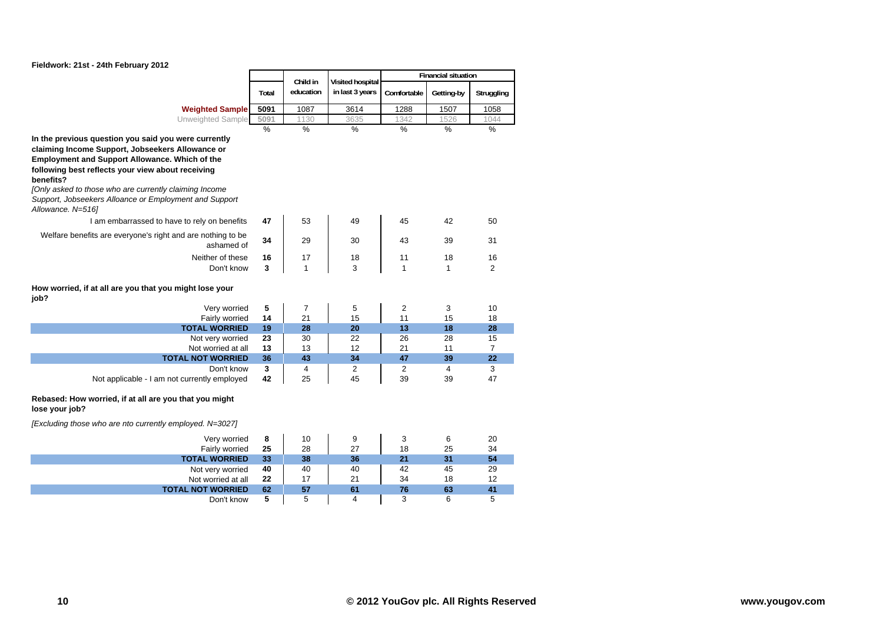

|                                                                                                                                                                                                                                                                                                                                                                              |               | Child in       | Visited hospital |                | <b>Financial situation</b> |                |
|------------------------------------------------------------------------------------------------------------------------------------------------------------------------------------------------------------------------------------------------------------------------------------------------------------------------------------------------------------------------------|---------------|----------------|------------------|----------------|----------------------------|----------------|
|                                                                                                                                                                                                                                                                                                                                                                              | Total         | education      | in last 3 years  | Comfortable    | Getting-by                 | Struggling     |
| <b>Weighted Sample</b>                                                                                                                                                                                                                                                                                                                                                       | 5091          | 1087           | 3614             | 1288           | 1507                       | 1058           |
| Unweighted Sample                                                                                                                                                                                                                                                                                                                                                            | 5091          | 1130           | 3635             | 1342           | 1526                       | 1044           |
|                                                                                                                                                                                                                                                                                                                                                                              | $\frac{9}{6}$ | $\frac{9}{6}$  | $\%$             | $\frac{0}{0}$  | $\frac{0}{0}$              | $\frac{0}{0}$  |
| In the previous question you said you were currently<br>claiming Income Support, Jobseekers Allowance or<br><b>Employment and Support Allowance. Which of the</b><br>following best reflects your view about receiving<br>benefits?<br>[Only asked to those who are currently claiming Income<br>Support, Jobseekers Alloance or Employment and Support<br>Allowance. N=516] |               |                |                  |                |                            |                |
| I am embarrassed to have to rely on benefits                                                                                                                                                                                                                                                                                                                                 | 47            | 53             | 49               | 45             | 42                         | 50             |
| Welfare benefits are everyone's right and are nothing to be<br>ashamed of                                                                                                                                                                                                                                                                                                    | 34            | 29             | 30               | 43             | 39                         | 31             |
| Neither of these                                                                                                                                                                                                                                                                                                                                                             | 16            | 17             | 18               | 11             | 18                         | 16             |
| Don't know                                                                                                                                                                                                                                                                                                                                                                   | 3             | $\mathbf{1}$   | 3                | 1              | $\mathbf{1}$               | $\overline{2}$ |
| How worried, if at all are you that you might lose your<br>job?<br>Very worried                                                                                                                                                                                                                                                                                              | ${\bf 5}$     | $\overline{7}$ | 5                | $\overline{2}$ | 3                          | 10             |
| Fairly worried                                                                                                                                                                                                                                                                                                                                                               | 14            | 21             | 15               | 11             | 15                         | 18             |
| <b>TOTAL WORRIED</b>                                                                                                                                                                                                                                                                                                                                                         | 19            | 28             | 20               | 13             | 18                         | 28             |
| Not very worried                                                                                                                                                                                                                                                                                                                                                             | 23            | 30             | 22               | 26             | 28                         | 15             |
| Not worried at all                                                                                                                                                                                                                                                                                                                                                           | 13            | 13             | 12               | 21             | 11                         | $\overline{7}$ |
| <b>TOTAL NOT WORRIED</b>                                                                                                                                                                                                                                                                                                                                                     | 36            | 43             | 34               | 47             | 39                         | 22             |
| Don't know                                                                                                                                                                                                                                                                                                                                                                   | 3             | 4              | 2                | 2              | $\overline{4}$             | 3              |
| Not applicable - I am not currently employed                                                                                                                                                                                                                                                                                                                                 | 42            | 25             | 45               | 39             | 39                         | 47             |
| Rebased: How worried, if at all are you that you might<br>lose your job?<br>[Excluding those who are nto currently employed. N=3027]                                                                                                                                                                                                                                         |               |                |                  |                |                            |                |
| Very worried                                                                                                                                                                                                                                                                                                                                                                 | 8             | 10             | 9                | 3              | 6                          | 20             |
| Fairly worried                                                                                                                                                                                                                                                                                                                                                               | 25            | 28             | 27               | 18             | 25                         | 34             |
| <b>TOTAL WORRIED</b>                                                                                                                                                                                                                                                                                                                                                         | 33            | 38             | 36               | 21             | 31                         | 54             |
| Not very worried                                                                                                                                                                                                                                                                                                                                                             | 40            | 40             | 40               | 42             | 45                         | 29             |
| Not worried at all                                                                                                                                                                                                                                                                                                                                                           | 22            | 17             | 21               | 34             | 18                         | 12             |
| <b>TOTAL NOT WORRIED</b>                                                                                                                                                                                                                                                                                                                                                     | 62            | 57             | 61               | 76             | 63                         | 41             |
| Don't know                                                                                                                                                                                                                                                                                                                                                                   | 5             | 5              | 4                | 3              | 6                          | 5              |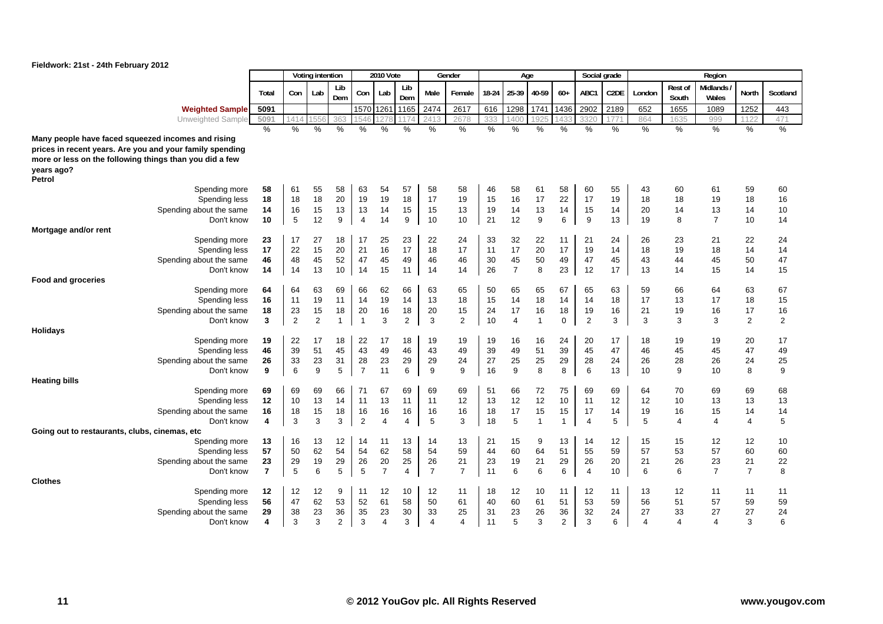

|                                                          |                         |                | Voting intention |                |                | <b>2010 Vote</b> |                |                         | Gender         |       |                | Age   |                |                | Social grade      |                |                  | Region            |                |          |
|----------------------------------------------------------|-------------------------|----------------|------------------|----------------|----------------|------------------|----------------|-------------------------|----------------|-------|----------------|-------|----------------|----------------|-------------------|----------------|------------------|-------------------|----------------|----------|
|                                                          | Total                   | Con            | Lab              | Lib<br>Dem     | Con            | Lab              | Lib<br>Dem     | Male                    | Female         | 18-24 | 25-39          | 40-59 | $60+$          | ABC1           | C <sub>2</sub> DE | London         | Rest of<br>South | Midlands<br>Wales | North          | Scotland |
| <b>Weighted Sample</b>                                   | 5091                    |                |                  |                | 1570 126       |                  | 1165           | 2474                    | 2617           | 616   | 1298           | 1741  | 1436           | 2902           | 2189              | 652            | 1655             | 1089              | 1252           | 443      |
| Unweighted Sample                                        | 5091                    | 1414           | 55               | 363            |                |                  |                | 241                     | 2678           | 333   | 140(           |       | 43             | 3320           | 77                | 864            | 1635             | 999               | 122            | 471      |
|                                                          | $\%$                    | %              | %                | %              | %              | %                | %              | $\%$                    | $\frac{0}{0}$  | %     | %              | $\%$  | %              | %              | $\%$              | $\%$           | $\frac{0}{0}$    | $\%$              | %              | %        |
| Many people have faced squeezed incomes and rising       |                         |                |                  |                |                |                  |                |                         |                |       |                |       |                |                |                   |                |                  |                   |                |          |
| prices in recent years. Are you and your family spending |                         |                |                  |                |                |                  |                |                         |                |       |                |       |                |                |                   |                |                  |                   |                |          |
| more or less on the following things than you did a few  |                         |                |                  |                |                |                  |                |                         |                |       |                |       |                |                |                   |                |                  |                   |                |          |
| years ago?<br>Petrol                                     |                         |                |                  |                |                |                  |                |                         |                |       |                |       |                |                |                   |                |                  |                   |                |          |
| Spending more                                            | 58                      | 61             | 55               | 58             | 63             | 54               | 57             | 58                      | 58             | 46    | 58             | 61    | 58             | 60             | 55                | 43             | 60               | 61                | 59             | 60       |
| Spending less                                            | 18                      | 18             | 18               | 20             | 19             | 19               | 18             | 17                      | 19             | 15    | 16             | 17    | 22             | 17             | 19                | 18             | 18               | 19                | 18             | 16       |
| Spending about the same                                  | 14                      | 16             | 15               | 13             | 13             | 14               | 15             | 15                      | 13             | 19    | 14             | 13    | 14             | 15             | 14                | 20             | 14               | 13                | 14             | $10$     |
| Don't know<br>Mortgage and/or rent                       | 10                      | 5              | 12               | 9              | $\overline{4}$ | 14               | 9              | 10                      | 10             | 21    | 12             | 9     | 6              | 9              | 13                | 19             | 8                | $\overline{7}$    | 10             | 14       |
| Spending more                                            | 23                      | 17             | 27               | 18             | 17             | 25               | 23             | 22                      | 24             | 33    | 32             | 22    | 11             | 21             | 24                | 26             | 23               | 21                | 22             | 24       |
| Spending less                                            | 17                      | 22             | 15               | 20             | 21             | 16               | 17             | 18                      | 17             | 11    | 17             | 20    | 17             | 19             | 14                | 18             | 19               | 18                | 14             | 14       |
| Spending about the same                                  | 46                      | 48             | 45               | 52             | 47             | 45               | 49             | 46                      | 46             | 30    | 45             | 50    | 49             | 47             | 45                | 43             | 44               | 45                | 50             | 47       |
| Don't know                                               | 14                      | 14             | 13               | 10             | 14             | 15               | 11             | 14                      | 14             | 26    | $\overline{7}$ | 8     | 23             | 12             | 17                | 13             | 14               | 15                | 14             | 15       |
| <b>Food and groceries</b>                                |                         |                |                  |                |                |                  |                |                         |                |       |                |       |                |                |                   |                |                  |                   |                |          |
| Spending more                                            | 64                      | 64             | 63               | 69             | 66             | 62               | 66             | 63                      | 65             | 50    | 65             | 65    | 67             | 65             | 63                | 59             | 66               | 64                | 63             | 67       |
| Spending less                                            | 16                      | 11             | 19               | 11             | 14             | 19               | 14             | 13                      | 18             | 15    | 14             | 18    | 14             | 14             | 18                | 17             | 13               | 17                | 18             | 15       |
| Spending about the same                                  | 18                      | 23             | 15               | 18             | 20             | 16               | 18             | 20                      | 15             | 24    | 17             | 16    | 18             | 19             | 16                | 21             | 19               | 16                | 17             | $16$     |
| Don't know                                               | 3                       | $\overline{2}$ | $\overline{2}$   | 1              | $\overline{1}$ | 3                | $\overline{2}$ | 3                       | $\overline{2}$ | 10    | $\overline{4}$ | 1     | $\Omega$       | $\overline{2}$ | 3                 | 3              | 3                | 3                 | $\overline{2}$ | 2        |
| <b>Holidays</b>                                          |                         |                |                  |                |                |                  |                |                         |                |       |                |       |                |                |                   |                |                  |                   |                |          |
| Spending more                                            | 19                      | 22             | 17               | 18             | 22             | 17               | 18             | 19                      | 19             | 19    | 16             | 16    | 24             | 20             | 17                | 18             | 19               | 19                | 20             | 17       |
| Spending less                                            | 46                      | 39             | 51               | 45             | 43             | 49               | 46             | 43                      | 49             | 39    | 49             | 51    | 39             | 45             | 47                | 46             | 45               | 45                | 47             | 49       |
| Spending about the same                                  | 26                      | 33             | 23               | 31             | 28             | 23               | 29             | 29                      | 24             | 27    | 25             | 25    | 29             | 28             | 24                | 26             | 28               | 26                | 24             | $25\,$   |
| Don't know                                               | 9                       | 6              | 9                | 5              | $\overline{7}$ | 11               | 6              | 9                       | 9              | 16    | 9              | 8     | 8              | 6              | 13                | 10             | 9                | 10                | 8              | 9        |
| <b>Heating bills</b><br>Spending more                    | 69                      | 69             | 69               | 66             | 71             | 67               | 69             | 69                      | 69             | 51    | 66             | 72    | 75             | 69             | 69                | 64             | 70               | 69                | 69             | 68       |
| Spending less                                            | 12                      | 10             | 13               | 14             | 11             | 13               | 11             | 11                      | 12             | 13    | 12             | 12    | 10             | 11             | 12                | 12             | 10               | 13                | 13             | 13       |
| Spending about the same                                  | 16                      | 18             | 15               | 18             | 16             | 16               | 16             | 16                      | 16             | 18    | 17             | 15    | 15             | 17             | 14                | 19             | 16               | 15                | 14             | 14       |
| Don't know                                               | 4                       | 3              | 3                | 3              | $\overline{2}$ | 4                | 4              | 5                       | 3              | 18    | 5              | 1     | 1              | $\overline{4}$ | 5                 | 5              | 4                | $\overline{4}$    | 4              | 5        |
| Going out to restaurants, clubs, cinemas, etc.           |                         |                |                  |                |                |                  |                |                         |                |       |                |       |                |                |                   |                |                  |                   |                |          |
| Spending more                                            | 13                      | 16             | 13               | 12             | 14             | 11               | 13             | 14                      | 13             | 21    | 15             | 9     | 13             | 14             | 12                | 15             | 15               | 12                | 12             | 10       |
| Spending less                                            | 57                      | 50             | 62               | 54             | 54             | 62               | 58             | 54                      | 59             | 44    | 60             | 64    | 51             | 55             | 59                | 57             | 53               | 57                | 60             | 60       |
| Spending about the same                                  | 23                      | 29             | 19               | 29             | 26             | 20               | 25             | 26                      | 21             | 23    | 19             | 21    | 29             | 26             | 20                | 21             | 26               | 23                | 21             | 22       |
| Don't know                                               | $\overline{7}$          | 5              | 6                | 5              | 5              | $\overline{7}$   | 4              | $\overline{7}$          | $\overline{7}$ | 11    | 6              | 6     | 6              | $\overline{4}$ | 10                | 6              | 6                | $\overline{7}$    | $\overline{7}$ | 8        |
| <b>Clothes</b>                                           |                         |                |                  |                |                |                  |                |                         |                |       |                |       |                |                |                   |                |                  |                   |                |          |
| Spending more                                            | 12                      | 12             | 12               | 9              | 11             | 12               | 10             | 12                      | 11             | 18    | 12             | 10    | 11             | 12             | 11                | 13             | 12               | 11                | 11             | 11       |
| Spending less                                            | 56                      | 47             | 62               | 53             | 52             | 61               | 58             | 50                      | 61             | 40    | 60             | 61    | 51             | 53             | 59                | 56             | 51               | 57                | 59             | 59       |
| Spending about the same                                  | 29                      | 38             | 23               | 36             | 35             | 23               | 30             | 33                      | 25             | 31    | 23             | 26    | 36             | 32             | 24                | 27             | 33               | 27                | 27             | 24       |
| Don't know                                               | $\overline{\mathbf{4}}$ | 3              | 3                | $\overline{2}$ | 3              | $\overline{4}$   | 3              | $\overline{\mathbf{4}}$ | 4              | 11    | 5              | 3     | $\overline{2}$ | 3              | 6                 | $\overline{4}$ | $\overline{4}$   | $\overline{4}$    | 3              | 6        |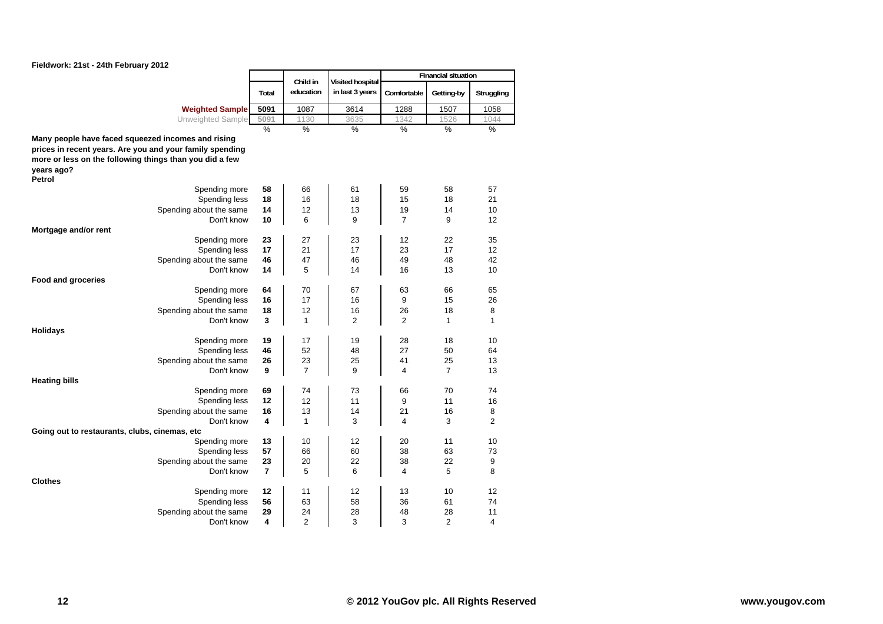

|                                                          |                         |                       |                                     |                | <b>Financial situation</b> |                |
|----------------------------------------------------------|-------------------------|-----------------------|-------------------------------------|----------------|----------------------------|----------------|
|                                                          | Total                   | Child in<br>education | Visited hospital<br>in last 3 years | Comfortable    | Getting-by                 | Struggling     |
| <b>Weighted Sample</b>                                   | 5091                    | 1087                  | 3614                                | 1288           | 1507                       | 1058           |
| Unweighted Sample                                        | 5091                    | 1130                  | 3635                                | 1342           | 1526                       | 1044           |
|                                                          | $\frac{0}{6}$           | $\frac{9}{6}$         | $\frac{0}{6}$                       | $\frac{0}{0}$  | $\frac{9}{6}$              | $\frac{0}{6}$  |
| Many people have faced squeezed incomes and rising       |                         |                       |                                     |                |                            |                |
| prices in recent years. Are you and your family spending |                         |                       |                                     |                |                            |                |
| more or less on the following things than you did a few  |                         |                       |                                     |                |                            |                |
| years ago?<br>Petrol                                     |                         |                       |                                     |                |                            |                |
| Spending more                                            | 58                      | 66                    | 61                                  | 59             | 58                         | 57             |
| Spending less                                            | 18                      | 16                    | 18                                  | 15             | 18                         | 21             |
| Spending about the same                                  | 14                      | 12                    | 13                                  | 19             | 14                         | 10             |
| Don't know                                               | 10                      | 6                     | 9                                   | $\overline{7}$ | 9                          | 12             |
| Mortgage and/or rent                                     |                         |                       |                                     |                |                            |                |
| Spending more                                            | 23                      | 27                    | 23                                  | 12             | 22                         | 35             |
| Spending less                                            | 17                      | 21                    | 17                                  | 23             | 17                         | 12             |
| Spending about the same                                  | 46                      | 47                    | 46                                  | 49             | 48                         | 42             |
| Don't know                                               | 14                      | 5                     | 14                                  | 16             | 13                         | 10             |
| <b>Food and groceries</b>                                |                         |                       |                                     |                |                            |                |
| Spending more                                            | 64<br>16                | 70<br>17              | 67                                  | 63<br>9        | 66                         | 65<br>26       |
| Spending less<br>Spending about the same                 | 18                      | 12                    | 16<br>16                            | 26             | 15<br>18                   | 8              |
| Don't know                                               | $\overline{\mathbf{3}}$ | $\mathbf{1}$          | $\overline{2}$                      | $\overline{2}$ | 1                          | $\mathbf{1}$   |
| <b>Holidays</b>                                          |                         |                       |                                     |                |                            |                |
| Spending more                                            | 19                      | 17                    | 19                                  | 28             | 18                         | 10             |
| Spending less                                            | 46                      | 52                    | 48                                  | 27             | 50                         | 64             |
| Spending about the same                                  | 26                      | 23                    | 25                                  | 41             | 25                         | 13             |
| Don't know                                               | 9                       | $\overline{7}$        | 9                                   | 4              | 7                          | 13             |
| <b>Heating bills</b>                                     |                         |                       |                                     |                |                            |                |
| Spending more                                            | 69                      | 74                    | 73                                  | 66             | 70                         | 74             |
| Spending less                                            | 12                      | 12                    | 11                                  | 9              | 11                         | 16             |
| Spending about the same                                  | 16                      | 13                    | 14                                  | 21             | 16                         | 8              |
| Don't know                                               | 4                       | $\mathbf{1}$          | 3                                   | $\overline{4}$ | 3                          | $\overline{2}$ |
| Going out to restaurants, clubs, cinemas, etc            | 13                      |                       |                                     |                |                            |                |
| Spending more<br>Spending less                           | 57                      | 10<br>66              | 12<br>60                            | 20<br>38       | 11<br>63                   | 10<br>73       |
| Spending about the same                                  | 23                      | 20                    | 22                                  | 38             | 22                         | 9              |
| Don't know                                               | $\overline{7}$          | 5                     | 6                                   | 4              | 5                          | 8              |
| <b>Clothes</b>                                           |                         |                       |                                     |                |                            |                |
| Spending more                                            | 12                      | 11                    | 12                                  | 13             | 10                         | 12             |
| Spending less                                            | 56                      | 63                    | 58                                  | 36             | 61                         | 74             |
| Spending about the same                                  | 29                      | 24                    | 28                                  | 48             | 28                         | 11             |
| Don't know                                               | 4                       | $\overline{2}$        | 3                                   | 3              | $\overline{2}$             | 4              |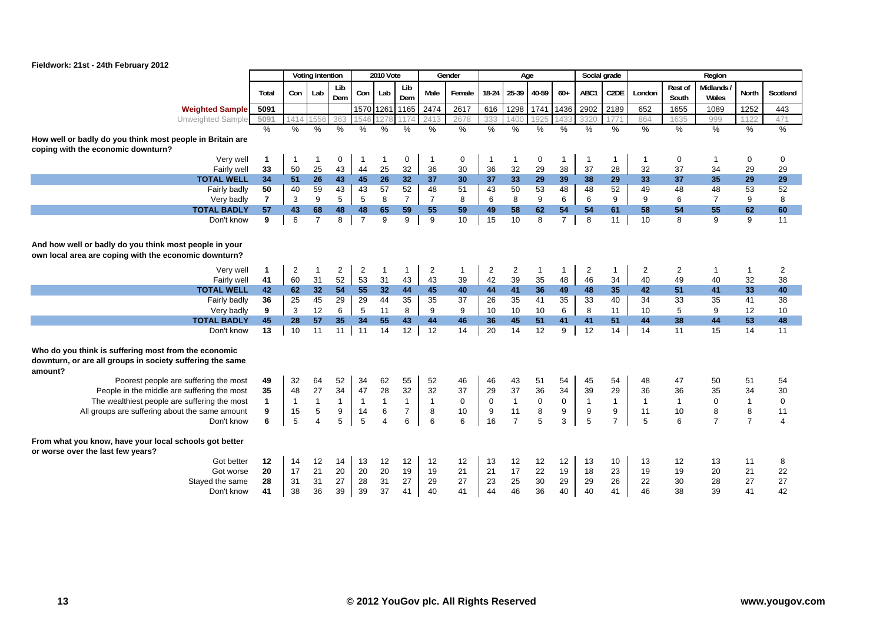

|                                                                                                                              |                |                | Voting intention |                |                | <b>2010 Vote</b> |                |                | Gender       |                | Age            |             |                  |                  | Social grade      |                |                  | Region                   |                |                |
|------------------------------------------------------------------------------------------------------------------------------|----------------|----------------|------------------|----------------|----------------|------------------|----------------|----------------|--------------|----------------|----------------|-------------|------------------|------------------|-------------------|----------------|------------------|--------------------------|----------------|----------------|
|                                                                                                                              | Total          | Con            | Lab              | Lib<br>Dem     | Con            | Lab              | Lib<br>Dem     | Male           | Female       | 18-24          | 25-39          | 40-59       | $60+$            | ABC1             | C <sub>2</sub> DE | London         | Rest of<br>South | <b>Midlands</b><br>Wales | <b>North</b>   | Scotland       |
| <b>Weighted Sample</b>                                                                                                       | 5091           |                |                  |                |                |                  | 1570 1261 1165 | 2474           | 2617         | 616            | 1298           | 1741        | 1436             | 2902             | 2189              | 652            | 1655             | 1089                     | 1252           | 443            |
| Unweighted Sample                                                                                                            | 5091           | 1414           | 155              | 363            |                |                  |                | 2413           | 2678         | 333            | 1400           | 1925        | 1433             | 3320             | 1771              | 864            | 1635             | 999                      | 1122           | 471            |
|                                                                                                                              | $\%$           | $\%$           | $\%$             | $\%$           | $\frac{0}{0}$  | $\%$             | $\%$           | $\%$           | $\%$         | $\%$           | $\%$           | $\%$        | %                | $\%$             | $\%$              | %              | $\%$             | %                        | $\%$           | %              |
| How well or badly do you think most people in Britain are<br>coping with the economic downturn?                              |                |                |                  |                |                |                  |                |                |              |                |                |             |                  |                  |                   |                |                  |                          |                |                |
| Very well                                                                                                                    | $\mathbf{1}$   | -1             | -1               | 0              | -1             | -1               | 0              |                | $\mathbf 0$  | 1              |                | 0           | 1                | $\overline{1}$   |                   | -1             | 0                | -1                       | 0              | 0              |
| Fairly well                                                                                                                  | 33             | 50             | 25               | 43             | 44             | 25               | 32             | 36             | 30           | 36             | 32             | 29          | 38               | 37               | 28                | 32             | 37               | 34                       | 29             | 29             |
| <b>TOTAL WELL</b>                                                                                                            | 34             | 51             | 26               | 43             | 45             | 26               | 32             | 37             | 30           | 37             | 33             | 29          | 39               | 38               | 29                | 33             | 37               | 35                       | 29             | 29             |
| Fairly badly                                                                                                                 | 50             | 40             | 59               | 43             | 43             | 57               | 52             | 48             | 51           | 43             | 50             | 53          | 48               | 48               | 52                | 49             | 48               | 48                       | 53             | 52             |
| Very badly                                                                                                                   | $\overline{7}$ | 3              | 9                | 5              | 5              | 8                | $\overline{7}$ | $\overline{7}$ | 8            | 6              | 8              | 9           | 6                | 6                | 9                 | 9              | 6                | $\overline{7}$           | 9              | 8              |
| <b>TOTAL BADLY</b>                                                                                                           | 57             | 43             | 68               | 48             | 48             | 65               | 59             | 55             | 59           | 49             | 58             | 62          | 54               | 54               | 61                | 58             | 54               | 55                       | 62             | 60             |
| Don't know                                                                                                                   | 9              | 6              | $\overline{7}$   | 8              | $\overline{7}$ | 9                | 9              | 9              | 10           | 15             | 10             | 8           | $\overline{7}$   | 8                | 11                | 10             | 8                | 9                        | 9              | 11             |
| And how well or badly do you think most people in your<br>own local area are coping with the economic downturn?              |                |                |                  |                |                |                  |                |                |              |                |                |             |                  |                  |                   |                |                  |                          |                |                |
| Very well                                                                                                                    | $\mathbf{1}$   | $\overline{2}$ | $\mathbf{1}$     | $\overline{c}$ | $\overline{2}$ |                  | $\mathbf 1$    | $\overline{2}$ | $\mathbf{1}$ | $\overline{c}$ | $\overline{2}$ |             | $\mathbf{1}$     | $\overline{2}$   | -1                | $\overline{c}$ | $\overline{2}$   | $\mathbf{1}$             | 1              | $\overline{c}$ |
| Fairly well                                                                                                                  | 41             | 60             | 31               | 52             | 53             | 31               | 43             | 43             | 39           | 42             | 39             | 35          | 48               | 46               | 34                | 40             | 49               | 40                       | 32             | 38             |
| <b>TOTAL WELL</b>                                                                                                            | 42             | 62             | 32               | 54             | 55             | 32               | 44             | 45             | 40           | 44             | 41             | 36          | 49               | 48               | 35                | 42             | 51               | 41                       | 33             | 40             |
| Fairly badly                                                                                                                 | 36             | 25             | 45               | 29             | 29             | 44               | 35             | 35             | 37           | 26             | 35             | 41          | 35               | 33               | 40                | 34             | 33               | 35                       | 41             | 38             |
| Very badly                                                                                                                   | 9              | 3              | 12               | 6              | 5              | 11               | 8              | 9              | 9            | 10             | 10             | 10          | 6                | 8                | 11                | 10             | 5                | 9                        | 12             | 10             |
| <b>TOTAL BADLY</b>                                                                                                           | 45             | 28             | 57               | 35             | 34             | 55               | 43             | 44             | 46           | 36             | 45             | 51          | 41               | 41               | 51                | 44             | 38               | 44                       | 53             | 48             |
| Don't know                                                                                                                   | 13             | 10             | 11               | 11             | 11             | 14               | 12             | 12             | 14           | 20             | 14             | 12          | 9                | 12               | 14                | 14             | 11               | 15                       | 14             | 11             |
| Who do you think is suffering most from the economic<br>downturn, or are all groups in society suffering the same<br>amount? |                |                |                  |                |                |                  |                |                |              |                |                |             |                  |                  |                   |                |                  |                          |                |                |
| Poorest people are suffering the most                                                                                        | 49             | 32             | 64               | 52             | 34             | 62               | 55             | 52             | 46           | 46             | 43             | 51          | 54               | 45               | 54                | 48             | 47               | 50                       | 51             | 54             |
| People in the middle are suffering the most                                                                                  | 35             | 48             | 27               | 34             | 47             | 28               | 32             | 32             | 37           | 29             | 37             | 36          | 34               | 39               | 29                | 36             | 36               | 35                       | 34             | 30             |
| The wealthiest people are suffering the most                                                                                 | $\mathbf{1}$   | $\mathbf{1}$   | $\mathbf{1}$     | $\mathbf{1}$   | $\overline{1}$ | $\mathbf{1}$     | $\mathbf{1}$   | $\mathbf{1}$   | $\mathbf 0$  | $\mathbf 0$    | $\mathbf{1}$   | $\mathbf 0$ | $\mathbf 0$      | $\overline{1}$   | $\mathbf{1}$      | $\mathbf{1}$   | $\overline{1}$   | $\mathbf 0$              | $\mathbf{1}$   | $\mathsf 0$    |
| All groups are suffering about the same amount                                                                               | 9              | 15             | $\,$ 5 $\,$      | 9              | 14             | 6                | $\overline{7}$ | 8              | 10           | 9              | 11             | 8           | $\boldsymbol{9}$ | $\boldsymbol{9}$ | 9                 | 11             | 10               | 8                        | 8              | 11             |
| Don't know                                                                                                                   | 6              | 5              | $\overline{4}$   | 5              | 5              | $\overline{4}$   | 6              | 6              | 6            | 16             | $\overline{7}$ | 5           | 3                | 5                | $\overline{7}$    | 5              | 6                | $\overline{7}$           | $\overline{7}$ | $\overline{4}$ |
| From what you know, have your local schools got better<br>or worse over the last few years?                                  |                |                |                  |                |                |                  |                |                |              |                |                |             |                  |                  |                   |                |                  |                          |                |                |
| Got better                                                                                                                   | 12             | 14             | 12               | 14             | 13             | 12               | 12             | 12             | 12           | 13             | 12             | 12          | 12               | 13               | 10                | 13             | 12               | 13                       | 11             | 8              |
| Got worse                                                                                                                    | 20             | 17             | 21               | 20             | 20             | 20               | 19             | 19             | 21           | 21             | 17             | 22          | 19               | 18               | 23                | 19             | 19               | 20                       | 21             | 22             |
| Stayed the same                                                                                                              | 28             | 31             | 31               | 27             | 28             | 31               | 27             | 29             | 27           | 23             | 25             | 30          | 29               | 29               | 26                | 22             | 30               | 28                       | 27             | 27             |
| Don't know                                                                                                                   | 41             | 38             | 36               | 39             | 39             | 37               | 41             | 40             | 41           | 44             | 46             | 36          | 40               | 40               | 41                | 46             | 38               | 39                       | 41             | 42             |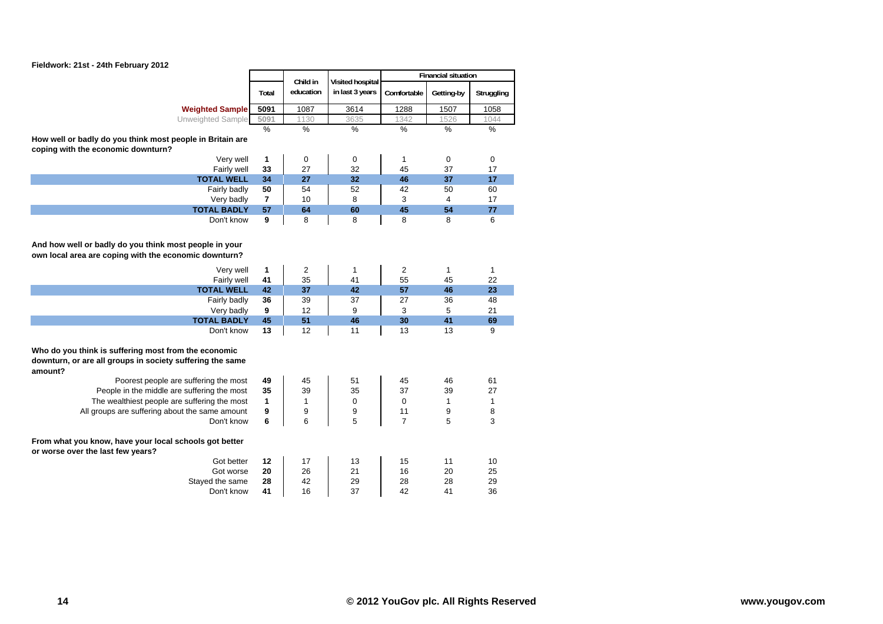

|                                                                                                                              |                | Child in      |                                     |                | <b>Financial situation</b> |               |
|------------------------------------------------------------------------------------------------------------------------------|----------------|---------------|-------------------------------------|----------------|----------------------------|---------------|
|                                                                                                                              | Total          | education     | Visited hospital<br>in last 3 years | Comfortable    | Getting-by                 | Struggling    |
| <b>Weighted Sample</b>                                                                                                       | 5091           | 1087          | 3614                                | 1288           | 1507                       | 1058          |
| Unweighted Sample                                                                                                            | 5091           | 1130          | 3635                                | 1342           | 1526                       | 1044          |
|                                                                                                                              | $\%$           | $\frac{0}{0}$ | %                                   | $\frac{1}{2}$  | $\frac{0}{0}$              | $\frac{0}{0}$ |
| How well or badly do you think most people in Britain are                                                                    |                |               |                                     |                |                            |               |
| coping with the economic downturn?                                                                                           |                |               |                                     |                |                            |               |
| Very well                                                                                                                    | $\mathbf{1}$   | $\pmb{0}$     | 0                                   | 1              | $\mathbf 0$                | 0             |
| Fairly well                                                                                                                  | 33             | 27            | 32                                  | 45             | 37                         | 17            |
| <b>TOTAL WELL</b>                                                                                                            | 34             | 27            | 32                                  | 46             | 37                         | 17            |
| Fairly badly                                                                                                                 | 50             | 54            | 52                                  | 42             | 50                         | 60            |
| Very badly                                                                                                                   | $\overline{7}$ | 10            | 8                                   | 3              | $\overline{4}$             | 17            |
| <b>TOTAL BADLY</b>                                                                                                           | 57             | 64            | 60                                  | 45             | 54                         | 77            |
| Don't know                                                                                                                   | 9              | 8             | 8                                   | 8              | 8                          | 6             |
| And how well or badly do you think most people in your<br>own local area are coping with the economic downturn?              |                |               |                                     |                |                            |               |
| Very well                                                                                                                    | 1              | 2             | 1                                   | $\overline{c}$ | 1                          | $\mathbf{1}$  |
| Fairly well                                                                                                                  | 41             | 35            | 41                                  | 55             | 45                         | 22            |
| <b>TOTAL WELL</b>                                                                                                            | 42             | 37            | 42                                  | 57             | 46                         | 23            |
| Fairly badly                                                                                                                 | 36             | 39            | 37                                  | 27             | 36                         | 48            |
| Very badly                                                                                                                   | 9              | 12            | 9                                   | 3              | 5                          | 21            |
| <b>TOTAL BADLY</b>                                                                                                           | 45             | 51            | 46                                  | 30             | 41                         | 69            |
| Don't know                                                                                                                   | 13             | 12            | 11                                  | 13             | 13                         | 9             |
| Who do you think is suffering most from the economic<br>downturn, or are all groups in society suffering the same<br>amount? |                |               |                                     |                |                            |               |
| Poorest people are suffering the most                                                                                        | 49             | 45            | 51                                  | 45             | 46                         | 61            |
| People in the middle are suffering the most                                                                                  | 35             | 39            | 35                                  | 37             | 39                         | 27            |
| The wealthiest people are suffering the most                                                                                 | $\mathbf{1}$   | 1             | 0                                   | 0              | 1                          | $\mathbf{1}$  |
| All groups are suffering about the same amount                                                                               | 9              | 9             | 9                                   | 11             | 9                          | 8             |
| Don't know                                                                                                                   | 6              | 6             | 5                                   | $\overline{7}$ | 5                          | 3             |
| From what you know, have your local schools got better<br>or worse over the last few years?                                  |                |               |                                     |                |                            |               |
| Got better                                                                                                                   | 12             | 17            | 13                                  | 15             | 11                         | 10            |
| Got worse                                                                                                                    | 20             | 26            | 21                                  | 16             | 20                         | 25            |
| Stayed the same                                                                                                              | 28             | 42            | 29                                  | 28             | 28                         | 29            |
| Don't know                                                                                                                   | 41             | 16            | 37                                  | 42             | 41                         | 36            |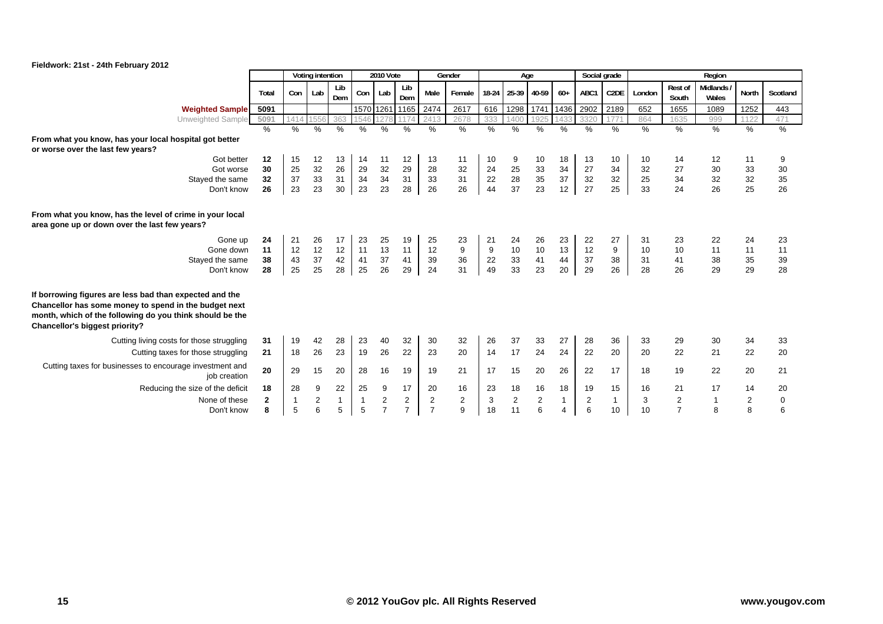

|                                                                                                                                                                                                                |       |      | Voting intention |            |              | <b>2010 Vote</b> |                |                         | Gender |       | Age            |       |                | Social grade |                   |               |                  | Region            |                         |               |
|----------------------------------------------------------------------------------------------------------------------------------------------------------------------------------------------------------------|-------|------|------------------|------------|--------------|------------------|----------------|-------------------------|--------|-------|----------------|-------|----------------|--------------|-------------------|---------------|------------------|-------------------|-------------------------|---------------|
|                                                                                                                                                                                                                | Total | Con  | Lab              | Lib<br>Dem | Con          | Lab              | Lib<br>Dem     | Male                    | Female | 18-24 | 25-39          | 40-59 | $60+$          | ABC1         | C <sub>2</sub> DE | London        | Rest of<br>South | Midlands<br>Wales | North                   | Scotland      |
| <b>Weighted Sample</b>                                                                                                                                                                                         | 5091  |      |                  |            |              | 1570 1261 1165   |                | 2474                    | 2617   | 616   | 1298           | 1741  | 1436           | 2902         | 2189              | 652           | 1655             | 1089              | 1252                    | 443           |
| Unweighted Sample                                                                                                                                                                                              | 5091  | 1414 | 1556             | 363        | 1546         | 127              | 1174           | 2413                    | 2678   | 333   | 1400           | 925   | 1433           | 3320         | 1771              | 864           | 1635             | 999               | 1122                    | 471           |
|                                                                                                                                                                                                                | $\%$  | %    | %                | $\%$       | %            | %                | $\%$           | %                       | %      | $\%$  | %              | $\%$  | %              | $\%$         | $\frac{9}{6}$     | $\frac{0}{0}$ | $\frac{0}{0}$    | $\%$              | %                       | $\frac{9}{6}$ |
| From what you know, has your local hospital got better                                                                                                                                                         |       |      |                  |            |              |                  |                |                         |        |       |                |       |                |              |                   |               |                  |                   |                         |               |
| or worse over the last few years?                                                                                                                                                                              |       |      |                  |            |              |                  |                |                         |        |       |                |       |                |              |                   |               |                  |                   |                         |               |
| Got better                                                                                                                                                                                                     | 12    | 15   | 12               | 13         | 14           | 11               | 12             | 13                      | 11     | 10    | 9              | 10    | 18             | 13           | 10                | 10            | 14               | 12                | 11                      | 9             |
| Got worse                                                                                                                                                                                                      | 30    | 25   | 32               | 26         | 29           | 32               | 29             | 28                      | 32     | 24    | 25             | 33    | 34             | 27           | 34                | 32            | 27               | 30                | 33                      | 30            |
| Stayed the same                                                                                                                                                                                                | 32    | 37   | 33               | 31         | 34           | 34               | 31             | 33                      | 31     | 22    | 28             | 35    | 37             | 32           | 32                | 25            | 34               | 32                | 32                      | 35            |
| Don't know                                                                                                                                                                                                     | 26    | 23   | 23               | 30         | 23           | 23               | 28             | 26                      | 26     | 44    | 37             | 23    | 12             | 27           | 25                | 33            | 24               | 26                | 25                      | 26            |
| From what you know, has the level of crime in your local<br>area gone up or down over the last few years?                                                                                                      |       |      |                  |            |              |                  |                |                         |        |       |                |       |                |              |                   |               |                  |                   |                         |               |
| Gone up                                                                                                                                                                                                        | 24    | 21   | 26               | 17         | 23           | 25               | 19             | 25                      | 23     | 21    | 24             | 26    | 23             | 22           | 27                | 31            | 23               | 22                | 24                      | 23            |
| Gone down                                                                                                                                                                                                      | 11    | 12   | 12               | 12         | 11           | 13               | 11             | 12                      | 9      | 9     | 10             | 10    | 13             | 12           | 9                 | 10            | 10               | 11                | 11                      | 11            |
| Stayed the same                                                                                                                                                                                                | 38    | 43   | 37               | 42         | 41           | 37               | 41             | 39                      | 36     | 22    | 33             | 41    | 44             | 37           | 38                | 31            | 41               | 38                | 35                      | 39            |
| Don't know                                                                                                                                                                                                     | 28    | 25   | 25               | 28         | 25           | 26               | 29             | 24                      | 31     | 49    | 33             | 23    | 20             | 29           | 26                | 28            | 26               | 29                | 29                      | 28            |
| If borrowing figures are less bad than expected and the<br>Chancellor has some money to spend in the budget next<br>month, which of the following do you think should be the<br>Chancellor's biggest priority? |       |      |                  |            |              |                  |                |                         |        |       |                |       |                |              |                   |               |                  |                   |                         |               |
| Cutting living costs for those struggling                                                                                                                                                                      | 31    | 19   | 42               | 28         | 23           | 40               | 32             | 30                      | 32     | 26    | 37             | 33    | 27             | 28           | 36                | 33            | 29               | 30                | 34                      | 33            |
| Cutting taxes for those struggling                                                                                                                                                                             | 21    | 18   | 26               | 23         | 19           | 26               | 22             | 23                      | 20     | 14    | 17             | 24    | 24             | 22           | 20                | 20            | 22               | 21                | 22                      | 20            |
| Cutting taxes for businesses to encourage investment and<br>job creation                                                                                                                                       | 20    | 29   | 15               | 20         | 28           | 16               | 19             | 19                      | 21     | 17    | 15             | 20    | 26             | 22           | 17                | 18            | 19               | 22                | 20                      | 21            |
| Reducing the size of the deficit                                                                                                                                                                               | 18    | 28   | 9                | 22         | 25           | 9                | 17             | 20                      | 16     | 23    | 18             | 16    | 18             | 19           | 15                | 16            | 21               | 17                | 14                      | 20            |
| None of these                                                                                                                                                                                                  | 2     | 1    | 2                |            | $\mathbf{1}$ | 2                | 2              | $\overline{\mathbf{c}}$ | 2      | 3     | $\overline{c}$ | 2     |                | 2            |                   | 3             | 2                |                   | $\overline{\mathbf{c}}$ | 0             |
| Don't know                                                                                                                                                                                                     | 8     | 5    | 6                | 5          | 5            | $\overline{7}$   | $\overline{7}$ | $\overline{7}$          | 9      | 18    | 11             | 6     | $\overline{4}$ | 6            | 10                | 10            | $\overline{7}$   | 8                 | 8                       | 6             |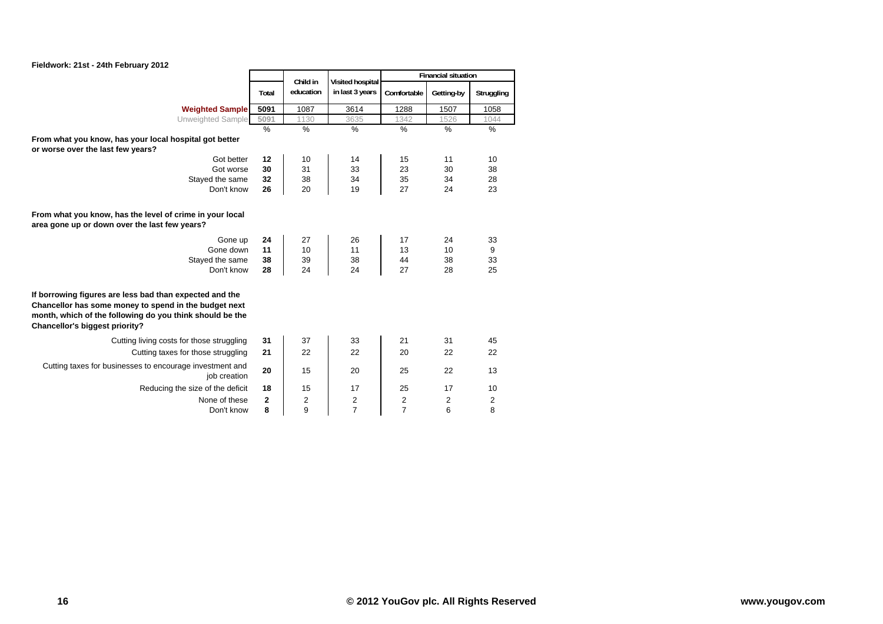

|                                                                                                                                                                                                                |               | Child in      |                                     |                | <b>Financial situation</b> |            |
|----------------------------------------------------------------------------------------------------------------------------------------------------------------------------------------------------------------|---------------|---------------|-------------------------------------|----------------|----------------------------|------------|
|                                                                                                                                                                                                                | Total         | education     | Visited hospital<br>in last 3 years | Comfortable    | Getting-by                 | Struggling |
| <b>Weighted Sample</b>                                                                                                                                                                                         | 5091          | 1087          | 3614                                | 1288           | 1507                       | 1058       |
| Unweighted Sample                                                                                                                                                                                              | 5091          | 1130          | 3635                                | 1342           | 1526                       | 1044       |
|                                                                                                                                                                                                                | $\frac{0}{0}$ | $\frac{0}{0}$ | $\frac{0}{0}$                       | $\%$           | $\frac{0}{0}$              | %          |
| From what you know, has your local hospital got better<br>or worse over the last few years?                                                                                                                    |               |               |                                     |                |                            |            |
| Got better                                                                                                                                                                                                     | 12            | 10            | 14                                  | 15             | 11                         | 10         |
| Got worse                                                                                                                                                                                                      | 30            | 31            | 33                                  | 23             | 30                         | 38         |
| Stayed the same                                                                                                                                                                                                | 32            | 38            | 34                                  | 35             | 34                         | 28         |
| Don't know                                                                                                                                                                                                     | 26            | 20            | 19                                  | 27             | 24                         | 23         |
| From what you know, has the level of crime in your local<br>area gone up or down over the last few years?                                                                                                      |               |               |                                     |                |                            |            |
| Gone up                                                                                                                                                                                                        | 24            | 27            | 26                                  | 17             | 24                         | 33         |
| Gone down                                                                                                                                                                                                      | 11            | 10            | 11                                  | 13             | 10                         | 9          |
| Stayed the same                                                                                                                                                                                                | 38            | 39            | 38                                  | 44             | 38                         | 33         |
| Don't know                                                                                                                                                                                                     | 28            | 24            | 24                                  | 27             | 28                         | 25         |
| If borrowing figures are less bad than expected and the<br>Chancellor has some money to spend in the budget next<br>month, which of the following do you think should be the<br>Chancellor's biggest priority? |               |               |                                     |                |                            |            |
| Cutting living costs for those struggling                                                                                                                                                                      | 31            | 37            | 33                                  | 21             | 31                         | 45         |
| Cutting taxes for those struggling                                                                                                                                                                             | 21            | 22            | 22                                  | 20             | 22                         | 22         |
| Cutting taxes for businesses to encourage investment and<br>job creation                                                                                                                                       | 20            | 15            | 20                                  | 25             | 22                         | 13         |
| Reducing the size of the deficit                                                                                                                                                                               | 18            | 15            | 17                                  | 25             | 17                         | 10         |
| None of these                                                                                                                                                                                                  | 2             | 2             | 2                                   | 2              | 2                          | 2          |
| Don't know                                                                                                                                                                                                     | 8             | 9             | $\overline{7}$                      | $\overline{7}$ | 6                          | 8          |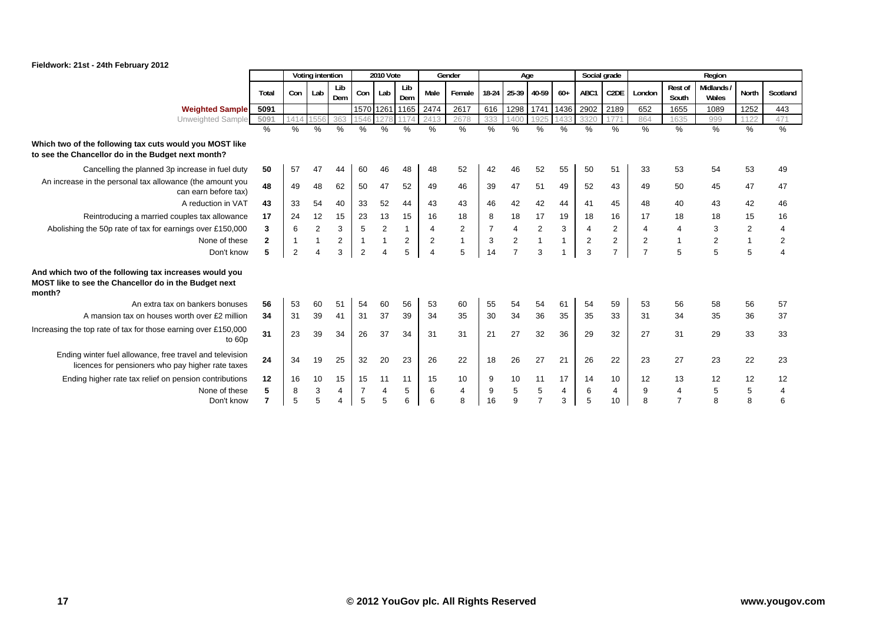

|                                                                                                                           |               |                | Voting intention |            |                | <b>2010 Vote</b> |               |                         | Gender         |       | Age            |                |              | Social grade   |                   |                |                         | Region                   |                |                |
|---------------------------------------------------------------------------------------------------------------------------|---------------|----------------|------------------|------------|----------------|------------------|---------------|-------------------------|----------------|-------|----------------|----------------|--------------|----------------|-------------------|----------------|-------------------------|--------------------------|----------------|----------------|
|                                                                                                                           | Total         | Con            | Lab              | Lib<br>Dem | Con            | Lab              | Lib<br>Dem    | Male                    | Female         | 18-24 | 25-39          | 40-59          | $60+$        | ABC1           | C <sub>2</sub> DE | London         | <b>Rest of</b><br>South | <b>Midlands</b><br>Wales | North          | Scotland       |
| <b>Weighted Sample</b>                                                                                                    | 5091          |                |                  |            |                | 1570 1261 1165   |               | 2474                    | 2617           | 616   | 1298           | 1741           | 1436         | 2902           | 2189              | 652            | 1655                    | 1089                     | 1252           | 443            |
| Unweighted Sample                                                                                                         | 5091          | 1414           | 1556             | 363        |                |                  | 1174          | 2413                    | 2678           | 333   | 1400           | 1925           | 1433         | 3320           |                   | 864            | 1635                    | 999                      | 1122           | 471            |
|                                                                                                                           | $\frac{0}{0}$ | $\%$           | %                | $\%$       | %              | %                | $\frac{9}{6}$ | %                       | %              | $\%$  | $\%$           | $\%$           | $\%$         | $\%$           | %                 | $\%$           | $\frac{0}{0}$           | $\frac{1}{6}$            | %              | %              |
| Which two of the following tax cuts would you MOST like<br>to see the Chancellor do in the Budget next month?             |               |                |                  |            |                |                  |               |                         |                |       |                |                |              |                |                   |                |                         |                          |                |                |
| Cancelling the planned 3p increase in fuel duty                                                                           | 50            | 57             | 47               | 44         | 60             | 46               | 48            | 48                      | 52             | 42    | 46             | 52             | 55           | 50             | 51                | 33             | 53                      | 54                       | 53             | 49             |
| An increase in the personal tax allowance (the amount you<br>can earn before tax)                                         | 48            | 49             | 48               | 62         | 50             | 47               | 52            | 49                      | 46             | 39    | 47             | 51             | 49           | 52             | 43                | 49             | 50                      | 45                       | 47             | 47             |
| A reduction in VAT                                                                                                        | 43            | 33             | 54               | 40         | 33             | 52               | 44            | 43                      | 43             | 46    | 42             | 42             | 44           | 41             | 45                | 48             | 40                      | 43                       | 42             | 46             |
| Reintroducing a married couples tax allowance                                                                             | 17            | 24             | 12               | 15         | 23             | 13               | 15            | 16                      | 18             | 8     | 18             | 17             | 19           | 18             | 16                | 17             | 18                      | 18                       | 15             | 16             |
| Abolishing the 50p rate of tax for earnings over £150,000                                                                 | 3             | 6              | $\overline{2}$   | 3          | 5              | $\overline{2}$   | 1             | 4                       | $\overline{2}$ | 7     | 4              | 2              | 3            | $\overline{4}$ | $\overline{2}$    | 4              | 4                       | 3                        | $\overline{2}$ | 4              |
| None of these                                                                                                             | $\mathbf{2}$  |                |                  | 2          |                |                  | 2             | 2                       |                | 3     | $\overline{2}$ | $\overline{1}$ | $\mathbf{1}$ | 2              | 2                 | $\overline{2}$ | $\overline{1}$          | $\overline{2}$           | $\mathbf{1}$   | $\overline{2}$ |
| Don't know                                                                                                                | 5             | $\overline{2}$ | $\Delta$         | 3          | $\overline{2}$ |                  | 5             | $\overline{\mathbf{A}}$ | 5              | 14    | $\overline{7}$ | 3              |              | 3              | $\overline{7}$    | $\overline{7}$ | 5                       | 5                        | 5              | $\overline{4}$ |
| And which two of the following tax increases would you<br>MOST like to see the Chancellor do in the Budget next<br>month? |               |                |                  |            |                |                  |               |                         |                |       |                |                |              |                |                   |                |                         |                          |                |                |
| An extra tax on bankers bonuses                                                                                           | 56            | 53             | 60               | 51         | 54             | 60               | 56            | 53                      | 60             | 55    | 54             | 54             | 61           | 54             | 59                | 53             | 56                      | 58                       | 56             | 57             |
| A mansion tax on houses worth over £2 million                                                                             | 34            | 31             | 39               | 41         | 31             | 37               | 39            | 34                      | 35             | 30    | 34             | 36             | 35           | 35             | 33                | 31             | 34                      | 35                       | 36             | 37             |
| Increasing the top rate of tax for those earning over £150,000<br>to 60p                                                  | 31            | 23             | 39               | 34         | 26             | 37               | 34            | 31                      | 31             | 21    | 27             | 32             | 36           | 29             | 32                | 27             | 31                      | 29                       | 33             | 33             |
| Ending winter fuel allowance, free travel and television<br>licences for pensioners who pay higher rate taxes             | 24            | 34             | 19               | 25         | 32             | 20               | 23            | 26                      | 22             | 18    | 26             | 27             | 21           | 26             | 22                | 23             | 27                      | 23                       | 22             | 23             |
| Ending higher rate tax relief on pension contributions                                                                    | 12            | 16             | 10               | 15         | 15             | 11               | 11            | 15                      | 10             | 9     | 10             | 11             | 17           | 14             | 10                | 12             | 13                      | 12                       | 12             | 12             |
| None of these                                                                                                             | 5             | 8              | 3                | 4          |                |                  | 5             | 6                       | $\overline{4}$ | 9     | 5              | 5              | 4            | 6              | 4                 | 9              | $\overline{4}$          | 5                        | 5              | 4              |
| Don't know                                                                                                                |               | 5              |                  | 4          | 5              |                  | 6             | 6                       | 8              | 16    | 9              | $\overline{7}$ | 3            | 5              | 10                | 8              | $\overline{7}$          |                          | 8              | 6              |